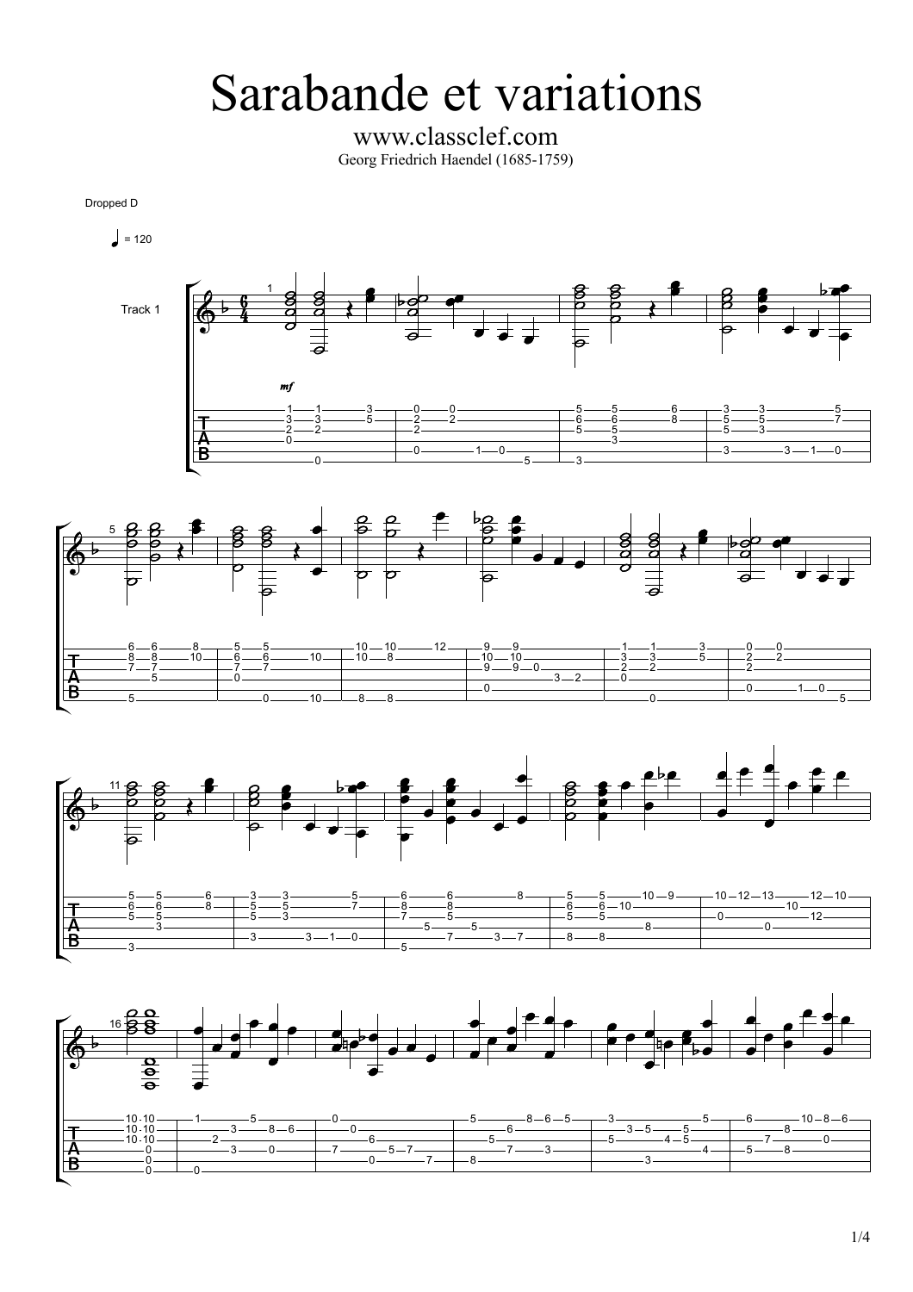Sarabande et variations

www.classclef.com Georg Friedrich Haendel (1685-1759)

Dropped D





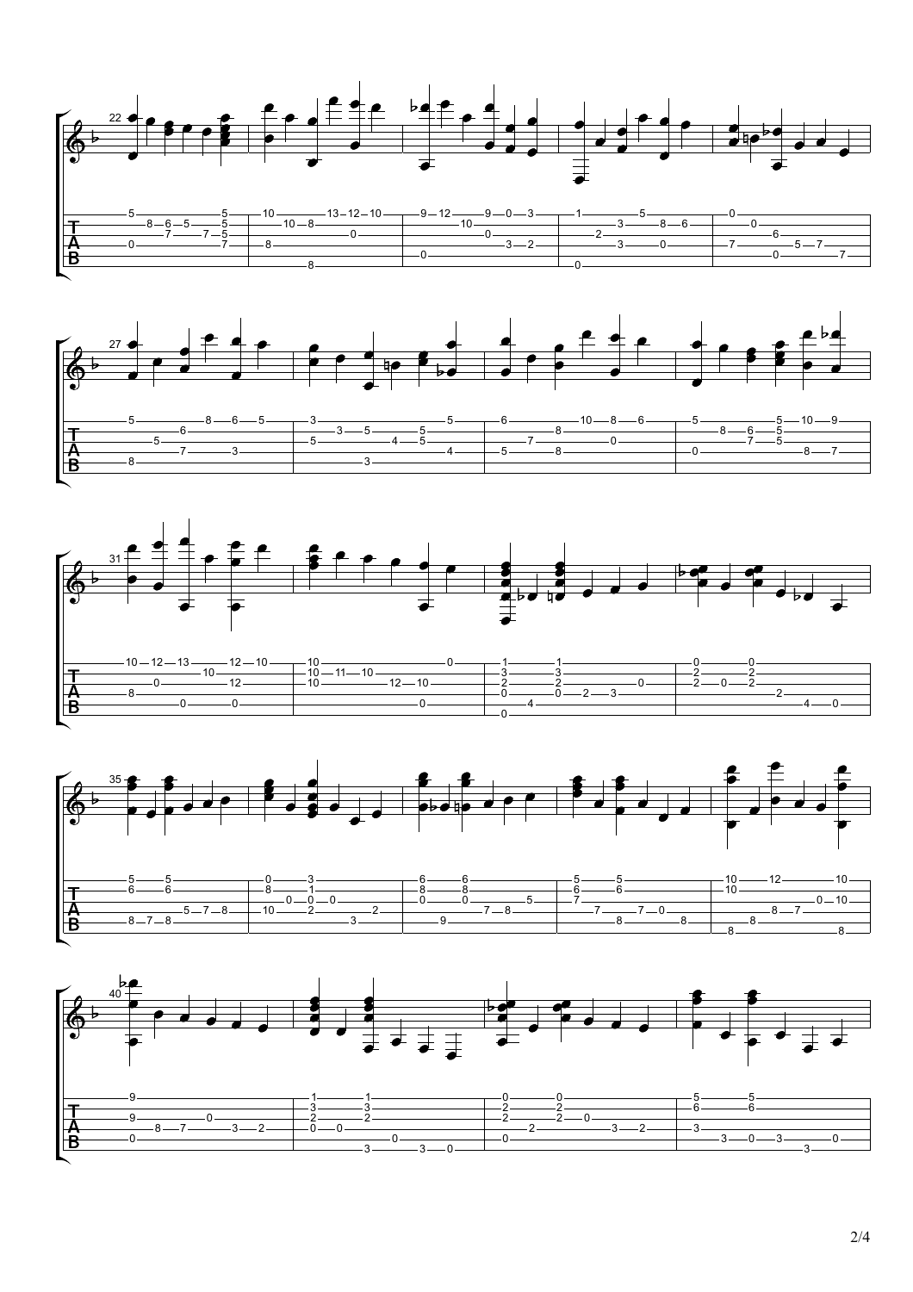







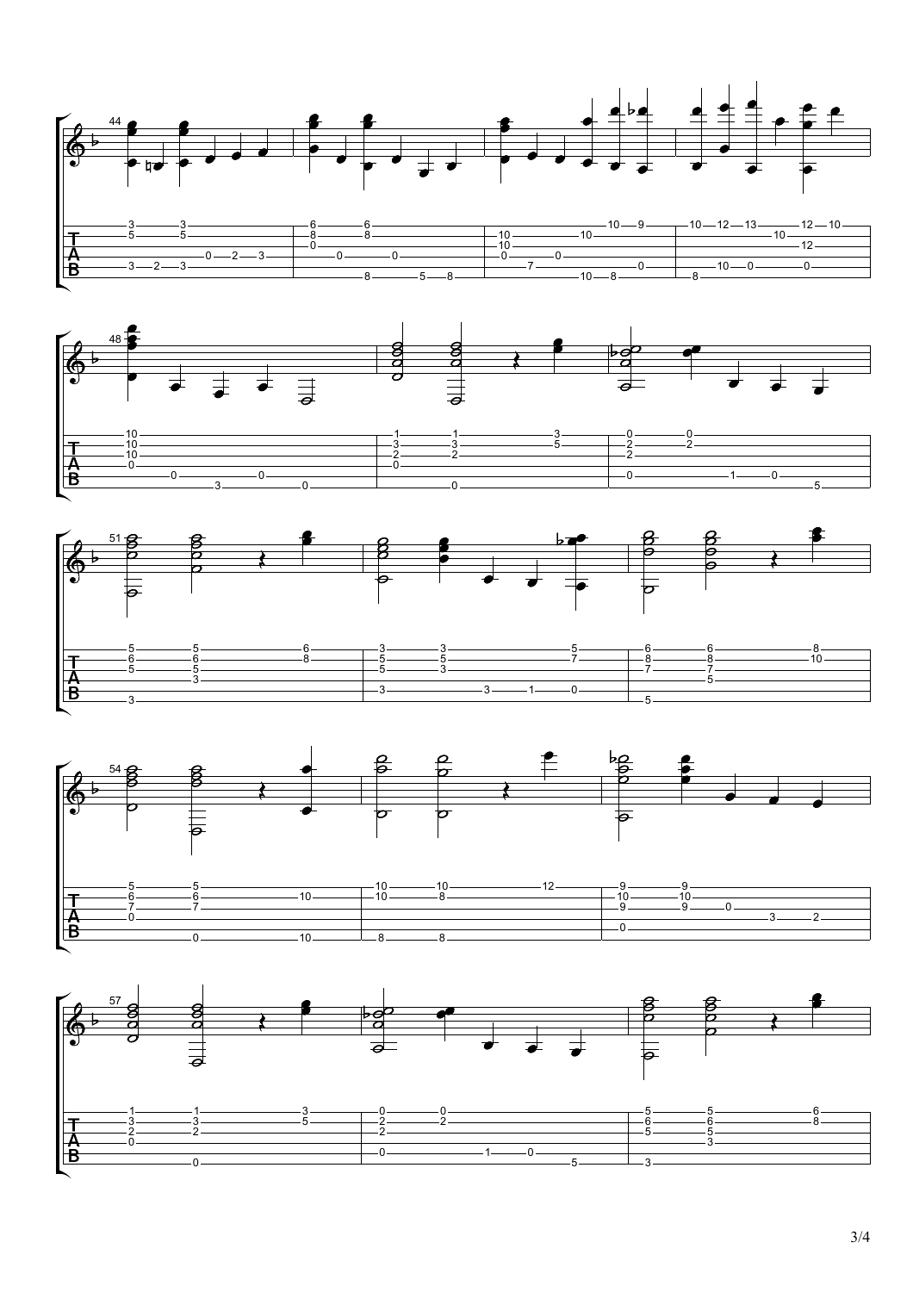